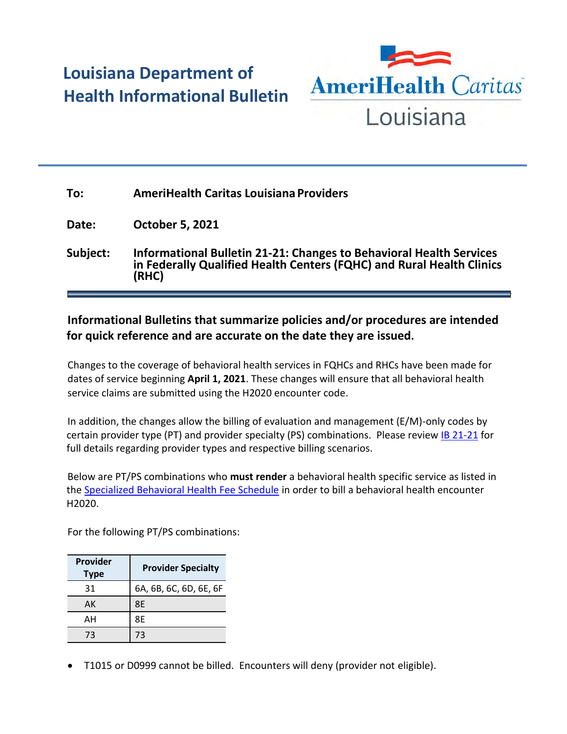## **Louisiana Department of Health Informational Bulletin**



| To:      | <b>AmeriHealth Caritas Louisiana Providers</b>                                                                                                               |
|----------|--------------------------------------------------------------------------------------------------------------------------------------------------------------|
| Date:    | <b>October 5, 2021</b>                                                                                                                                       |
| Subject: | <b>Informational Bulletin 21-21: Changes to Behavioral Health Services</b><br>in Federally Qualified Health Centers (FQHC) and Rural Health Clinics<br>(RHC) |

## **Informational Bulletins that summarize policies and/or procedures are intended for quick reference and are accurate on the date they are issued.**

Changes to the coverage of behavioral health services in FQHCs and RHCs have been made for dates of service beginning **April 1, 2021**. These changes will ensure that all behavioral health service claims are submitted using the H2020 encounter code.

In addition, the changes allow the billing of evaluation and management (E/M)-only codes by certain provider type (PT) and provider specialty (PS) combinations. Please review [IB 21-21](https://ldh.la.gov/assets/docs/BayouHealth/Informational_Bulletins/2021/IB21-21.pdf) for full details regarding provider types and respective billing scenarios.

Below are PT/PS combinations who **must render** a behavioral health specific service as listed in the [Specialized Behavioral Health Fee Schedule](https://www.lamedicaid.com/Provweb1/fee_schedules/SBH_FS.pdf) in order to bill a behavioral health encounter H2020.

For the following PT/PS combinations:

| Provider<br><b>Type</b> | <b>Provider Specialty</b> |
|-------------------------|---------------------------|
| 31                      | 6A, 6B, 6C, 6D, 6E, 6F    |
| AК                      | 8E                        |
| AН                      | 8F                        |
| 73                      | 73                        |

T1015 or D0999 cannot be billed. Encounters will deny (provider not eligible).